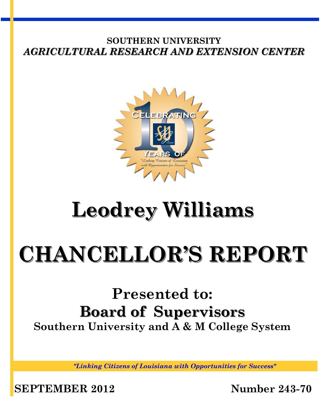

# **Leodrey Williams**

# **CHANCELLOR'S REPORT**

# **Presented to: Board of Supervisors Southern University and A & M College System**

*"Linking Citizens of Louisiana with Opportunities for Success"*

**SEPTEMBER 2012 Number 243-70**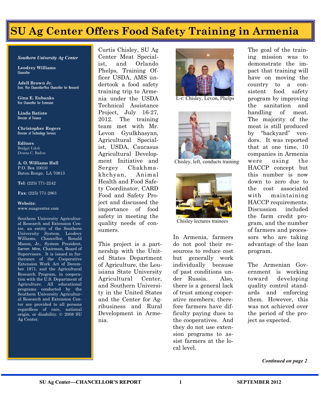# **SU Ag Center Offers Food Safety Training in Armenia**

#### *Southern University Ag Center*

**Leodrey Williams**  Chancellor

**Adell Brown Jr. Exec.** Vice Chancellor/Vice Chancellor for Research

**Gina E. Eubanks** Vice Chancellor for Extension

**Linda Batiste** Director of Finance

**Christopher Rogers** Director of Technology Services

**Editors** Bridget Udoh Donna C. Badon

**A. O. Williams Hall** P.O. Box 10010 Baton Rouge, LA 70813

**Tel**: (225) 771-2242

**Fax**: (225) 771-2861

#### **Website**: www.suagcenter.com

Southern University Agricultural Research and Extension Center, an entity of the Southern University System, Leodrey Williams, Chancellor, Ronald Mason, Jr., System President, Darren Mire, Chairman, Board of Supervisors. It is issued in furtherance of the Cooperative Extension Work Act of December 1971, and the Agricultural Research Program, in cooperation with the U.S. Department of Agriculture. All educational programs conducted by the Southern University Agricultural Research and Extension Center are provided to all persons regardless of race, national origin, or disability. © 2008 SU Ag Center.

Curtis Chisley, SU Ag Center Meat Specialist, and Orlando Phelps, Training Officer USDA, AMS undertook a food safety training trip to Armenia under the USDA Technical Assistance Project, July 16-27, 2012. The training team met with Mr. Levon Gyulkhasyan, Agricultural Specialist, USDA, Caucasus Agricultural Development Initiative and Sergey Chakhmakhchyan, Animal Health and Food Safety Coordinator, CARD Food and Safety Project and discussed the importance of food safety in meeting the quality needs of consumers.

This project is a partnership with the United States Department of Agriculture, the Louisiana State University Agricultural Center, and Southern University in the United States and the Center for Agribusiness and Rural Development in Armenia.



L-r: Chisley, Levon, Phelps



Chisley, left, conducts training



Chisley lectures trainees

In Armenia, farmers do not pool their resources to reduce cost but generally work individually because of past conditions under Russia. Also, there is a general lack of trust among cooperative members; therefore farmers have difficulty paying dues to the cooperatives. And they do not use extension programs to assist farmers at the local level.

The goal of the training mission was to demonstrate the impact that training will have on moving the country to a consistent food safety program by improving the sanitation and handling of meat. The majority of the meat is still produced by "backyard" vendors. It was reported that at one time, 10 companies in Armenia were using the HACCP concept but this number is now down to zero due to the cost associated with maintaining HACCP requirements. Discussion included the farm credit program, and the number of farmers and processors who are taking advantage of the loan program.

The Armenian Government is working toward developing quality control standards and enforcing them. However, this was not achieved over the period of the project as expected.

*Continued on page 2*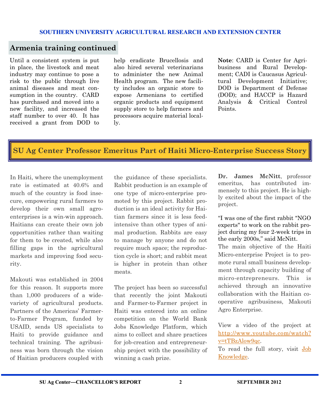### **Armenia training continued**

Until a consistent system is put in place, the livestock and meat industry may continue to pose a risk to the public through live animal diseases and meat consumption in the country. CARD has purchased and moved into a new facility, and increased the staff number to over 40. It has received a grant from DOD to help eradicate Brucellosis and also hired several veterinarians to administer the new Animal Health program. The new facility includes an organic store to expose Armenians to certified organic products and equipment supply store to help farmers and processors acquire material locally.

**Note**: CARD is Center for Agribusiness and Rural Development; CADI is Caucasus Agricultural Development Initiative; DOD is Department of Defense (DOD); and HACCP is Hazard Analysis & Critical Control Points.

# **SU Ag Center Professor Emeritus Part of Haiti Micro-Enterprise Success Story**

In Haiti, where the unemployment rate is estimated at 40.6% and much of the country is food insecure, empowering rural farmers to develop their own small agroenterprises is a win-win approach. Haitians can create their own job opportunities rather than waiting for them to be created, while also filling gaps in the agricultural markets and improving food security.

Makouti was established in 2004 for this reason. It supports more than 1,000 producers of a widevariety of agricultural products. Partners of the Americas' Farmerto-Farmer Program, funded by USAID, sends US specialists to Haiti to provide guidance and technical training. The agribusiness was born through the vision of Haitian producers coupled with

the guidance of these specialists. Rabbit production is an example of one type of micro-enterprise promoted by this project. Rabbit production is an ideal activity for Haitian farmers since it is less feedintensive than other types of animal production. Rabbits are easy to manage by anyone and do not require much space; the reproduction cycle is short; and rabbit meat is higher in protein than other meats.

The project has been so successful that recently the joint Makouti and Farmer-to-Farmer project in Haiti was entered into an online competition on the World Bank Jobs Knowledge Platform, which aims to collect and share practices for job-creation and entrepreneurship project with the possibility of winning a cash prize.

**Dr. James McNitt**, professor emeritus, has contributed immensely to this project. He is highly excited about the impact of the project.

"I was one of the first rabbit "NGO experts" to work on the rabbit project during my four 2-week trips in the early 2000s," said McNitt.

The main objective of the Haiti Micro-enterprise Project is to promote rural small business development through capacity building of micro-entrepreneurs. This is achieved through an innovative collaboration with the Haitian cooperative agribusiness, Makouti Agro Enterprise.

View a video of the project at [http://www.youtube.com/watch?](http://www.youtube.com/watch?v=tTBzAlow9qc) [v=tTBzAlow9qc.](http://www.youtube.com/watch?v=tTBzAlow9qc)

To read the full story, visit [Job](https://www.jobsknowledge.org/EFF/Lists/Posts/Post.aspx?List=69a0901e-9cbd-4e4d-88fb-b05fe54fc65a&ID=110&Web=8cf8613a-dcf9-45d5-b6b9-3494b497120d)  [Knowledge.](https://www.jobsknowledge.org/EFF/Lists/Posts/Post.aspx?List=69a0901e-9cbd-4e4d-88fb-b05fe54fc65a&ID=110&Web=8cf8613a-dcf9-45d5-b6b9-3494b497120d)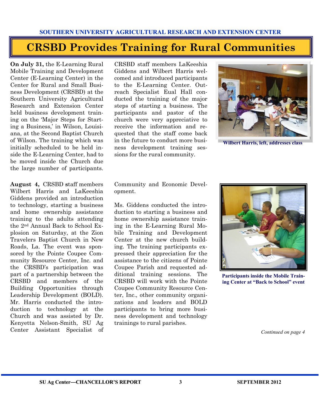# **CRSBD Provides Training for Rural Communities**

**On July 31,** the E-Learning Rural Mobile Training and Development Center (E-Learning Center) in the Center for Rural and Small Business Development (CRSBD) at the Southern University Agricultural Research and Extension Center held business development training on the 'Major Steps for Starting a Business,' in Wilson, Louisiana, at the Second Baptist Church of Wilson. The training which was initially scheduled to be held inside the E-Learning Center, had to be moved inside the Church due the large number of participants.

**August 4,** CRSBD **s**taff members Wilbert Harris and LaKeeshia Giddens provided an introduction to technology, starting a business and home ownership assistance training to the adults attending the 2nd Annual Back to School Explosion on Saturday, at the Zion Travelers Baptist Church in New Roads, La. The event was sponsored by the Pointe Coupee Community Resource Center, Inc. and the CRSBD's participation was part of a partnership between the CRSBD and members of the Building Opportunities through Leadership Development (BOLD). Mr. Harris conducted the introduction to technology at the Church and was assisted by Dr. Kenyetta Nelson-Smith, SU Ag Center Assistant Specialist of CRSBD staff members LaKeeshia Giddens and Wilbert Harris welcomed and introduced participants to the E-Learning Center. Outreach Specialist Eual Hall conducted the training of the major steps of starting a business. The participants and pastor of the church were very appreciative to receive the information and requested that the staff come back in the future to conduct more business development training sessions for the rural community.



**Wilbert Harris, left, addresses class**

Community and Economic Development.

Ms. Giddens conducted the introduction to starting a business and home ownership assistance training in the E-Learning Rural Mobile Training and Development Center at the new church building. The training participants expressed their appreciation for the assistance to the citizens of Pointe Coupee Parish and requested additional training sessions. The CRSBD will work with the Pointe Coupee Community Resource Center, Inc., other community organizations and leaders and BOLD participants to bring more business development and technology trainings to rural parishes.



**Participants inside the Mobile Training Center at "Back to School" event** 

*Continued on page 4*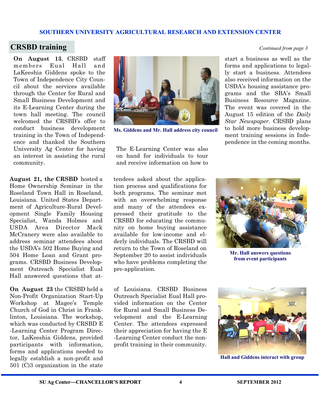### **CRSBD training** *Continued from page 3*

**On August 13**, CRSBD staff members Eual Hall and LaKeeshia Giddens spoke to the Town of Independence City Council about the services available through the Center for Rural and Small Business Development and its E-Learning Center during the town hall meeting. The council welcomed the CRSBD's offer to conduct business development training in the Town of Independence and thanked the Southern University Ag Center for having an interest in assisting the rural community.

**August 21, the CRSBD** hosted a Home Ownership Seminar in the Roseland Town Hall in Roseland, Louisiana. United States Department of Agriculture-Rural Development Single Family Housing Specialist, Wanda Holmes and USDA Area Director Mack McCranery were also available to address seminar attendees about the USDA's 502 Home Buying and 504 Home Loan and Grant programs. CRSBD Business Development Outreach Specialist Eual Hall answered questions that at-

**On August 23** the CRSBD held a Non-Profit Organization Start-Up Workshop at Magee's Temple Church of God in Christ in Franklinton, Louisiana. The workshop, which was conducted by CRSBD E -Learning Center Program Director, LaKeeshia Giddens, provided participants with information, forms and applications needed to legally establish a non-profit and 501 (C)3 organization in the state



**Ms. Giddens and Mr. Hall address city council**

The E-Learning Center was also on hand for individuals to tour and receive information on how to

start a business as well as the forms and applications to legally start a business. Attendees also received information on the USDA's housing assistance programs and the SBA's Small Business Resource Magazine. The event was covered in the August 15 edition of the *Daily Star Newspaper.* CRSBD plans to hold more business development training sessions in Independence in the coming months.

tendees asked about the application process and qualifications for both programs. The seminar met with an overwhelming response and many of the attendees expressed their gratitude to the CRSBD for educating the community on home buying assistance available for low-income and elderly individuals. The CRSBD will return to the Town of Roseland on September 20 to assist individuals who have problems completing the pre-application.

of Louisiana. CRSBD Business Outreach Specialist Eual Hall provided information on the Center for Rural and Small Business Development and the E-Learning Center. The attendees expressed their appreciation for having the E -Learning Center conduct the nonprofit training in their community.



**Mr. Hall answers questions from event participants**



**Hall and Giddens interact with group**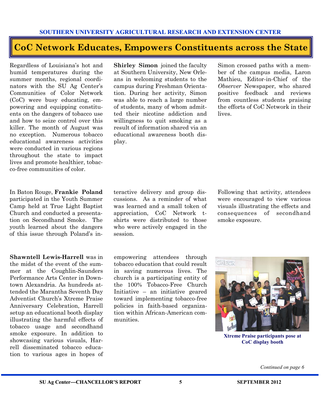## **CoC Network Educates, Empowers Constituents across the State**

Regardless of Louisiana's hot and humid temperatures during the summer months, regional coordinators with the SU Ag Center's Communities of Color Network (CoC) were busy educating, empowering and equipping constituents on the dangers of tobacco use and how to seize control over this killer. The month of August was no exception. Numerous tobacco educational awareness activities were conducted in various regions throughout the state to impact lives and promote healthier, tobacco-free communities of color.

In Baton Rouge, **Frankie Poland**  participated in the Youth Summer Camp held at True Light Baptist Church and conducted a presentation on Secondhand Smoke. The youth learned about the dangers of this issue through Poland's in-

**Shawntell Lewis-Harrell** was in the midst of the event of the summer at the Coughlin-Saunders Performance Arts Center in Downtown Alexandria. As hundreds attended the Marantha Seventh Day Adventist Church's Xtreme Praise Anniversary Celebration, Harrell setup an educational booth display illustrating the harmful effects of tobacco usage and secondhand smoke exposure. In addition to showcasing various visuals, Harrell disseminated tobacco education to various ages in hopes of **Shirley Simon** joined the faculty at Southern University, New Orleans in welcoming students to the campus during Freshman Orientation. During her activity, Simon was able to reach a large number of students, many of whom admitted their nicotine addiction and willingness to quit smoking as a result of information shared via an educational awareness booth display.

Simon crossed paths with a member of the campus media, Laron Mathieu, Editor-in-Chief of the *Observer* Newspaper, who shared positive feedback and reviews from countless students praising the efforts of CoC Network in their lives.

teractive delivery and group discussions. As a reminder of what was learned and a small token of appreciation, CoC Network tshirts were distributed to those who were actively engaged in the session.

Following that activity, attendees were encouraged to view various visuals illustrating the effects and consequences of secondhand smoke exposure.

empowering attendees through tobacco education that could result in saving numerous lives. The church is a participating entity of the 100% Tobacco-Free Church Initiative – an initiative geared toward implementing tobacco-free policies in faith-based organization within African-American communities.



**Xtreme Praise participants pose at CoC display booth**

*Continued on page 6*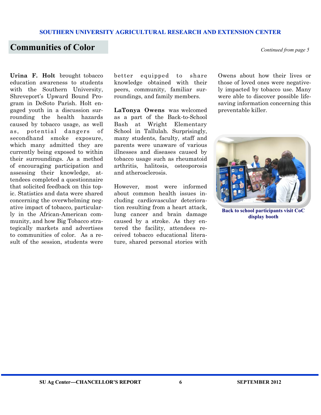### **Communities of Color** *Continued from page 5*

**Urina F. Holt** brought tobacco education awareness to students with the Southern University, Shreveport's Upward Bound Program in DeSoto Parish. Holt engaged youth in a discussion surrounding the health hazards caused by tobacco usage, as well as, potential dangers of secondhand smoke exposure, which many admitted they are currently being exposed to within their surroundings. As a method of encouraging participation and assessing their knowledge, attendees completed a questionnaire that solicited feedback on this topic. Statistics and data were shared concerning the overwhelming negative impact of tobacco, particularly in the African-American community, and how Big Tobacco strategically markets and advertises to communities of color. As a result of the session, students were

better equipped to share knowledge obtained with their peers, community, familiar surroundings, and family members.

**LaTonya Owens** was welcomed as a part of the Back-to-School Bash at Wright Elementary School in Tallulah. Surprisingly, many students, faculty, staff and parents were unaware of various illnesses and diseases caused by tobacco usage such as rheumatoid arthritis, halitosis, osteoporosis and atherosclerosis.

However, most were informed about common health issues including cardiovascular deterioration resulting from a heart attack, lung cancer and brain damage caused by a stroke. As they entered the facility, attendees received tobacco educational literature, shared personal stories with

Owens about how their lives or those of loved ones were negatively impacted by tobacco use. Many were able to discover possible lifesaving information concerning this preventable killer.



**Back to school participants visit CoC display booth**